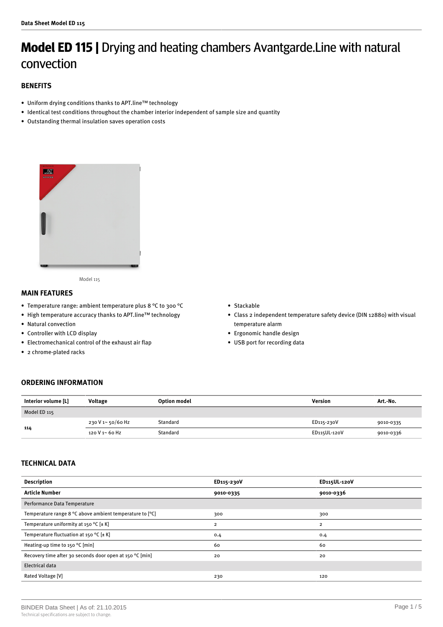# **Model ED 115 |** Drying and heating chambers Avantgarde.Line with natural convection

## **BENEFITS**

- Uniform drying conditions thanks to APT.line™ technology
- Identical test conditions throughout the chamber interior independent of sample size and quantity
- Outstanding thermal insulation saves operation costs



Model 115

## **MAIN FEATURES**

- Temperature range: ambient temperature plus 8 °C to 300 °C
- High temperature accuracy thanks to APT.line™ technology
- Natural convection
- Controller with LCD display
- Electromechanical control of the exhaust air flap
- 2 chrome-plated racks
- Stackable
- Class 2 independent temperature safety device (DIN 12880) with visual temperature alarm
- Ergonomic handle design
- USB port for recording data

## **ORDERING INFORMATION**

| Interior volume [L] | Voltage           | <b>Option model</b> | Version      | Art.-No.  |
|---------------------|-------------------|---------------------|--------------|-----------|
| Model ED 115        |                   |                     |              |           |
| 114                 | 230 V 1~ 50/60 Hz | Standard            | ED115-230V   | 9010-0335 |
|                     | 120 V 1~ 60 Hz    | Standard            | ED115UL-120V | 9010-0336 |

## **TECHNICAL DATA**

| <b>Description</b>                                       | ED115-230V              | ED115UL-120V   |
|----------------------------------------------------------|-------------------------|----------------|
| <b>Article Number</b>                                    | 9010-0335               | 9010-0336      |
| Performance Data Temperature                             |                         |                |
| Temperature range 8 °C above ambient temperature to [°C] | 300                     | 300            |
| Temperature uniformity at 150 °C $[\pm K]$               | $\overline{\mathbf{2}}$ | $\overline{2}$ |
| Temperature fluctuation at 150 °C $[\pm K]$              | 0.4                     | 0.4            |
| Heating-up time to 150 °C [min]                          | 60                      | 60             |
| Recovery time after 30 seconds door open at 150 °C [min] | 20                      | 20             |
| <b>Electrical data</b>                                   |                         |                |
| <b>Rated Voltage [V]</b>                                 | 230                     | 120            |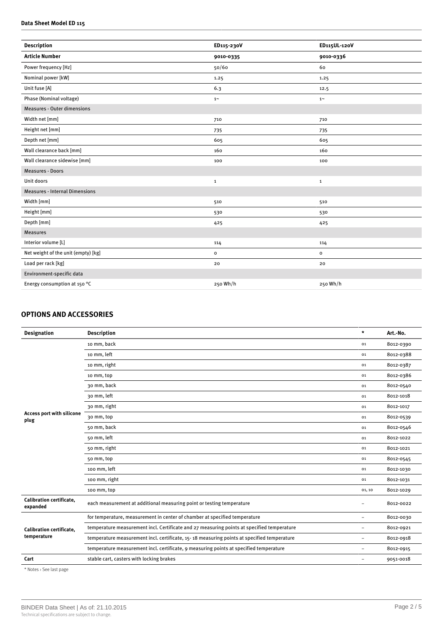### **Data Sheet Model ED 115**

| ED115-230V   | ED115UL-120V   |
|--------------|----------------|
| 9010-0335    | 9010-0336      |
| 50/60        | 60             |
| 1.25         | 1.25           |
| 6.3          | 12.5           |
| $1~\sim$     | $1\sim$        |
|              |                |
| 710          | 710            |
| 735          | 735            |
| 605          | 605            |
| 160          | 160            |
| 100          | 100            |
|              |                |
| $\mathbf{1}$ | $\mathbf{1}$   |
|              |                |
| 510          | 510            |
| 530          | 530            |
| 425          | 425            |
|              |                |
| 114          | 114            |
| $\mathbf{o}$ | $\mathsf{o}\,$ |
| 20           | 20             |
|              |                |
| 250 Wh/h     | 250 Wh/h       |
|              |                |

## **OPTIONS AND ACCESSORIES**

| <b>Designation</b>                             | <b>Description</b>                                                                         | $\star$                  | Art.-No.  |
|------------------------------------------------|--------------------------------------------------------------------------------------------|--------------------------|-----------|
|                                                | 10 mm, back                                                                                | 01                       | 8012-0390 |
|                                                | 10 mm, left                                                                                | 01                       | 8012-0388 |
|                                                | 10 mm, right                                                                               | 01                       | 8012-0387 |
|                                                | 10 mm, top                                                                                 | 01                       | 8012-0386 |
|                                                | 30 mm, back                                                                                | 01                       | 8012-0540 |
|                                                | 30 mm, left                                                                                | 01                       | 8012-1018 |
|                                                | 30 mm, right                                                                               | 01                       | 8012-1017 |
| <b>Access port with silicone</b><br>plug       | 30 mm, top                                                                                 | 01                       | 8012-0539 |
|                                                | 50 mm, back                                                                                | 01                       | 8012-0546 |
|                                                | 50 mm, left                                                                                | 01                       | 8012-1022 |
|                                                | 50 mm, right                                                                               | 01                       | 8012-1021 |
|                                                | 50 mm, top                                                                                 | 01                       | 8012-0545 |
|                                                | 100 mm, left                                                                               | 01                       | 8012-1030 |
|                                                | 100 mm, right                                                                              | 01                       | 8012-1031 |
|                                                | 100 mm, top                                                                                | 01, 10                   | 8012-1029 |
| <b>Calibration certificate.</b><br>expanded    | each measurement at additional measuring point or testing temperature                      | $\equiv$                 | 8012-0022 |
|                                                | for temperature, measurement in center of chamber at specified temperature                 | $\overline{\phantom{0}}$ | 8012-0030 |
| <b>Calibration certificate.</b><br>temperature | temperature measurement incl. Certificate and 27 measuring points at specified temperature | -                        | 8012-0921 |
|                                                | temperature measurement incl. certificate, 15-18 measuring points at specified temperature | $\equiv$                 | 8012-0918 |
|                                                | temperature measurement incl. certificate, 9 measuring points at specified temperature     | $\overline{\phantom{0}}$ | 8012-0915 |
| Cart                                           | stable cart, casters with locking brakes                                                   | $\overline{\phantom{0}}$ | 9051-0018 |

\* Notes › See last page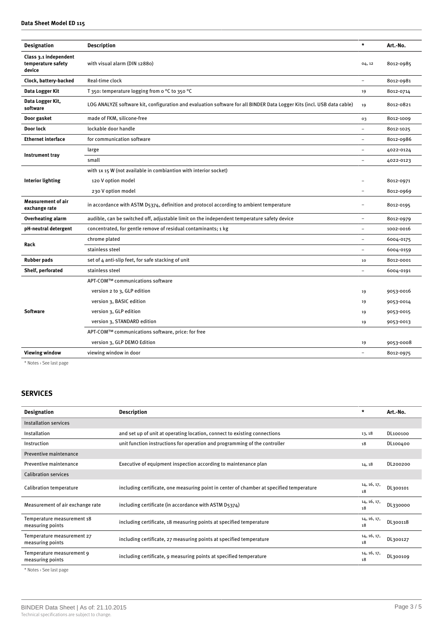## **Data Sheet Model ED 115**

| <b>Designation</b>                                    | <b>Description</b>                                                                                                     | $\star$                  | Art.-No.  |
|-------------------------------------------------------|------------------------------------------------------------------------------------------------------------------------|--------------------------|-----------|
| Class 3.1 independent<br>temperature safety<br>device | with visual alarm (DIN 12880)                                                                                          | 04, 12                   | 8012-0985 |
| Clock, battery-backed                                 | Real-time clock                                                                                                        |                          | 8012-0981 |
| Data Logger Kit                                       | T 350: temperature logging from o °C to 350 °C                                                                         | 19                       | 8012-0714 |
| Data Logger Kit,<br>software                          | LOG ANALYZE software kit, configuration and evaluation software for all BINDER Data Logger Kits (incl. USB data cable) | 19                       | 8012-0821 |
| Door gasket                                           | made of FKM, silicone-free                                                                                             | 03                       | 8012-1009 |
| Door lock                                             | lockable door handle                                                                                                   |                          | 8012-1025 |
| <b>Ethernet interface</b>                             | for communication software                                                                                             | ÷                        | 8012-0986 |
|                                                       | large                                                                                                                  | ۳                        | 4022-0124 |
| <b>Instrument tray</b>                                | small                                                                                                                  |                          | 4022-0123 |
|                                                       | with 1x 15 W (not available in combiantion with interior socket)                                                       |                          |           |
| <b>Interior lighting</b>                              | 120 V option model                                                                                                     |                          | 8012-0971 |
|                                                       | 230 V option model                                                                                                     | $\overline{\phantom{0}}$ | 8012-0969 |
| <b>Measurement of air</b><br>exchange rate            | in accordance with ASTM D5374, definition and protocol according to ambient temperature                                |                          | 8012-0195 |
| Overheating alarm                                     | audible, can be switched off, adjustable limit on the independent temperature safety device                            | ÷                        | 8012-0979 |
| pH-neutral detergent                                  | concentrated, for gentle remove of residual contaminants; 1 kg                                                         |                          | 1002-0016 |
| Rack                                                  | chrome plated                                                                                                          |                          | 6004-0175 |
|                                                       | stainless steel                                                                                                        |                          | 6004-0159 |
| <b>Rubber pads</b>                                    | set of 4 anti-slip feet, for safe stacking of unit                                                                     | 10                       | 8012-0001 |
| Shelf, perforated                                     | stainless steel                                                                                                        | $\overline{\phantom{0}}$ | 6004-0191 |
|                                                       | APT-COM™ communications software                                                                                       |                          |           |
| <b>Software</b>                                       | version 2 to 3, GLP edition                                                                                            | 19                       | 9053-0016 |
|                                                       | version 3, BASIC edition                                                                                               | 19                       | 9053-0014 |
|                                                       | version 3, GLP edition                                                                                                 | 19                       | 9053-0015 |
|                                                       | version 3, STANDARD edition                                                                                            | 19                       | 9053-0013 |
|                                                       | APT-COM™ communications software, price: for free                                                                      |                          |           |
|                                                       | version 3, GLP DEMO Edition                                                                                            | 19                       | 9053-0008 |
| <b>Viewing window</b>                                 | viewing window in door                                                                                                 |                          | 8012-0975 |
|                                                       |                                                                                                                        |                          |           |

\* Notes › See last page

## **SERVICES**

| <b>Designation</b>                                                        | <b>Description</b>                                                                       | $\star$           | Art.-No. |
|---------------------------------------------------------------------------|------------------------------------------------------------------------------------------|-------------------|----------|
| <b>Installation services</b>                                              |                                                                                          |                   |          |
| Installation                                                              | and set up of unit at operating location, connect to existing connections                | 13, 18            | DL100100 |
| Instruction                                                               | unit function instructions for operation and programming of the controller               | 18                | DL100400 |
| Preventive maintenance                                                    |                                                                                          |                   |          |
| Preventive maintenance                                                    | Executive of equipment inspection according to maintenance plan                          | 14, 18            | DL200200 |
| <b>Calibration services</b>                                               |                                                                                          |                   |          |
| Calibration temperature                                                   | including certificate, one measuring point in center of chamber at specified temperature | 14, 16, 17,<br>18 | DL300101 |
| Measurement of air exchange rate                                          | including certificate (in accordance with ASTM D5374)                                    | 14, 16, 17,<br>18 | DL330000 |
| Temperature measurement 18<br>measuring points                            | including certificate, 18 measuring points at specified temperature                      | 14, 16, 17,<br>18 | DL300118 |
| Temperature measurement 27<br>measuring points                            | including certificate, 27 measuring points at specified temperature                      | 14, 16, 17,<br>18 | DL300127 |
| Temperature measurement 9<br>measuring points                             | including certificate, 9 measuring points at specified temperature                       | 14, 16, 17,<br>18 | DL300109 |
| $\omega$ and $\omega$ and $\omega$ and $\omega$ and $\omega$ and $\omega$ |                                                                                          |                   |          |

\* Notes › See last page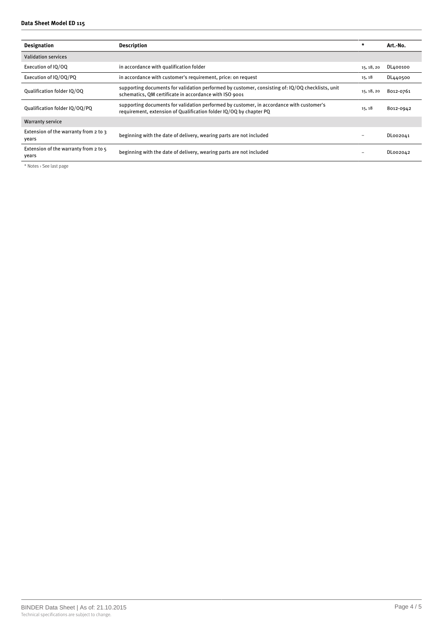| <b>Designation</b>                               | <b>Description</b>                                                                                                                                             | $\star$    | Art.-No.  |
|--------------------------------------------------|----------------------------------------------------------------------------------------------------------------------------------------------------------------|------------|-----------|
| <b>Validation services</b>                       |                                                                                                                                                                |            |           |
| Execution of IO/OO                               | in accordance with qualification folder                                                                                                                        | 15, 18, 20 | DL400100  |
| Execution of IQ/OQ/PQ                            | in accordance with customer's requirement, price: on request                                                                                                   | 15, 18     | DL440500  |
| Qualification folder IQ/OQ                       | supporting documents for validation performed by customer, consisting of: IQ/OQ checklists, unit<br>schematics, QM certificate in accordance with ISO 9001     | 15, 18, 20 | 8012-0761 |
| Qualification folder IQ/OQ/PQ                    | supporting documents for validation performed by customer, in accordance with customer's<br>requirement, extension of Qualification folder IQ/OQ by chapter PQ | 15, 18     | 8012-0942 |
| <b>Warranty service</b>                          |                                                                                                                                                                |            |           |
| Extension of the warranty from 2 to 3<br>years   | beginning with the date of delivery, wearing parts are not included                                                                                            |            | DL002041  |
| Extension of the warranty from 2 to $5$<br>vears | beginning with the date of delivery, wearing parts are not included                                                                                            |            | DL002042  |

\* Notes › See last page